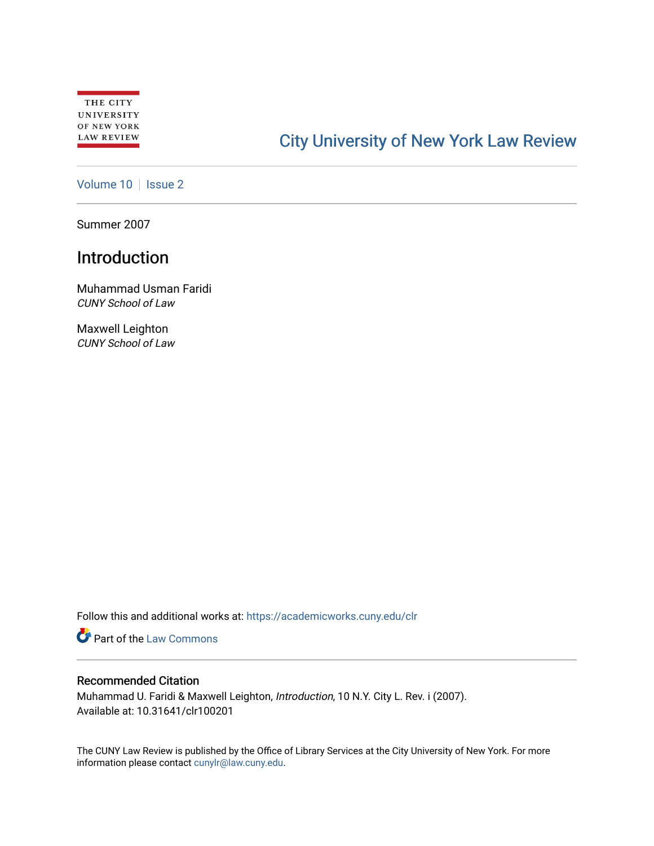# [City University of New York Law Review](https://academicworks.cuny.edu/clr)

[Volume 10](https://academicworks.cuny.edu/clr/vol10) | [Issue 2](https://academicworks.cuny.edu/clr/vol10/iss2)

Summer 2007

# Introduction

Muhammad Usman Faridi CUNY School of Law

Maxwell Leighton CUNY School of Law

Follow this and additional works at: [https://academicworks.cuny.edu/clr](https://academicworks.cuny.edu/clr?utm_source=academicworks.cuny.edu%2Fclr%2Fvol10%2Fiss2%2F2&utm_medium=PDF&utm_campaign=PDFCoverPages) 

**Part of the [Law Commons](http://network.bepress.com/hgg/discipline/578?utm_source=academicworks.cuny.edu%2Fclr%2Fvol10%2Fiss2%2F2&utm_medium=PDF&utm_campaign=PDFCoverPages)** 

## Recommended Citation

Muhammad U. Faridi & Maxwell Leighton, Introduction, 10 N.Y. City L. Rev. i (2007). Available at: 10.31641/clr100201

The CUNY Law Review is published by the Office of Library Services at the City University of New York. For more information please contact [cunylr@law.cuny.edu](mailto:cunylr@law.cuny.edu).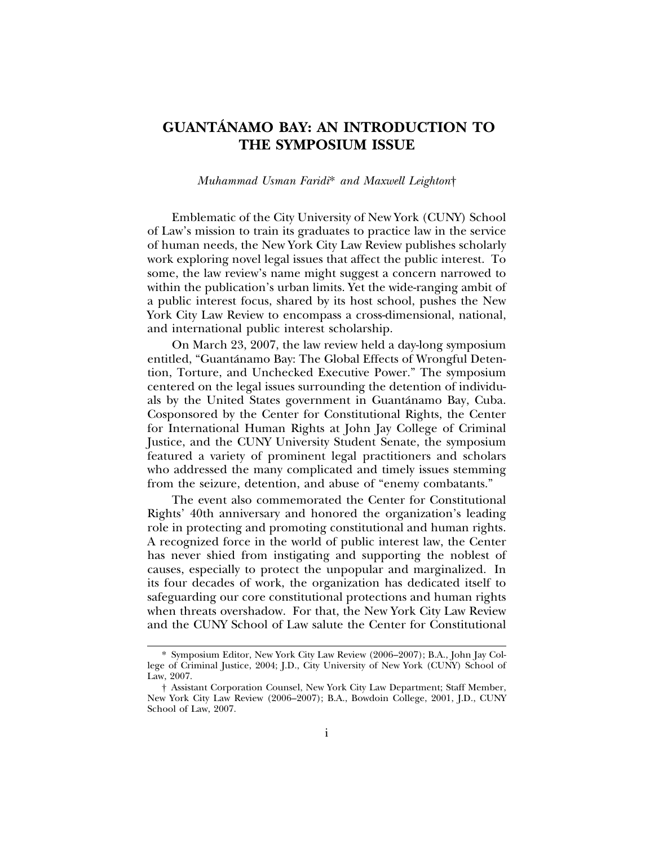# **GUANTANAMO BAY: AN INTRODUCTION TO ´ THE SYMPOSIUM ISSUE**

#### *Muhammad Usman Faridi*\* *and Maxwell Leighton*†

Emblematic of the City University of New York (CUNY) School of Law's mission to train its graduates to practice law in the service of human needs, the New York City Law Review publishes scholarly work exploring novel legal issues that affect the public interest. To some, the law review's name might suggest a concern narrowed to within the publication's urban limits. Yet the wide-ranging ambit of a public interest focus, shared by its host school, pushes the New York City Law Review to encompass a cross-dimensional, national, and international public interest scholarship.

On March 23, 2007, the law review held a day-long symposium entitled, "Guantánamo Bay: The Global Effects of Wrongful Detention, Torture, and Unchecked Executive Power." The symposium centered on the legal issues surrounding the detention of individuals by the United States government in Guantanamo Bay, Cuba. ´ Cosponsored by the Center for Constitutional Rights, the Center for International Human Rights at John Jay College of Criminal Justice, and the CUNY University Student Senate, the symposium featured a variety of prominent legal practitioners and scholars who addressed the many complicated and timely issues stemming from the seizure, detention, and abuse of "enemy combatants."

The event also commemorated the Center for Constitutional Rights' 40th anniversary and honored the organization's leading role in protecting and promoting constitutional and human rights. A recognized force in the world of public interest law, the Center has never shied from instigating and supporting the noblest of causes, especially to protect the unpopular and marginalized. In its four decades of work, the organization has dedicated itself to safeguarding our core constitutional protections and human rights when threats overshadow. For that, the New York City Law Review and the CUNY School of Law salute the Center for Constitutional

<sup>\*</sup> Symposium Editor, New York City Law Review (2006–2007); B.A., John Jay College of Criminal Justice, 2004; J.D., City University of New York (CUNY) School of Law, 2007.

<sup>†</sup> Assistant Corporation Counsel, New York City Law Department; Staff Member, New York City Law Review (2006–2007); B.A., Bowdoin College, 2001, J.D., CUNY School of Law, 2007.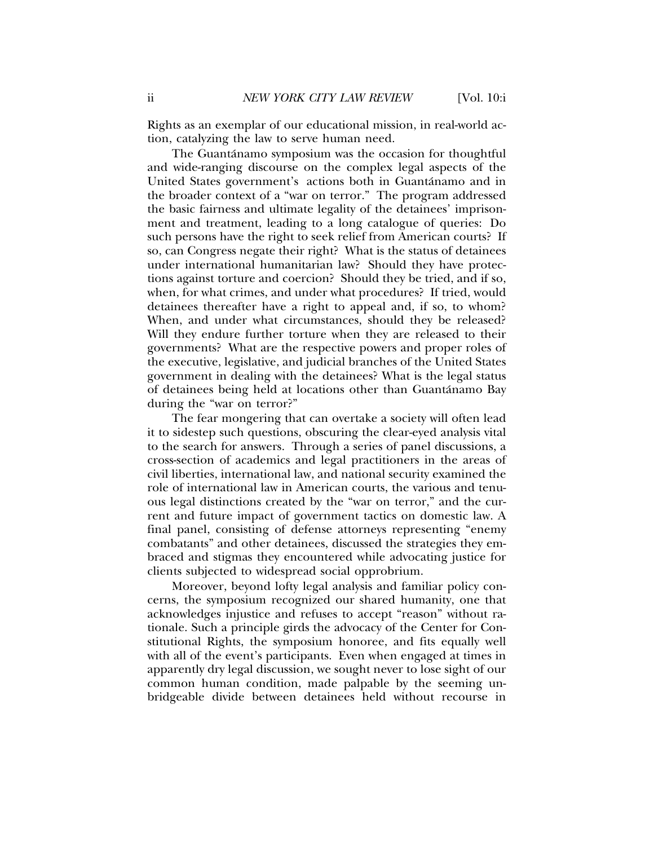Rights as an exemplar of our educational mission, in real-world action, catalyzing the law to serve human need.

The Guantánamo symposium was the occasion for thoughtful and wide-ranging discourse on the complex legal aspects of the United States government's actions both in Guantanamo and in the broader context of a "war on terror." The program addressed the basic fairness and ultimate legality of the detainees' imprisonment and treatment, leading to a long catalogue of queries: Do such persons have the right to seek relief from American courts? If so, can Congress negate their right? What is the status of detainees under international humanitarian law? Should they have protections against torture and coercion? Should they be tried, and if so, when, for what crimes, and under what procedures? If tried, would detainees thereafter have a right to appeal and, if so, to whom? When, and under what circumstances, should they be released? Will they endure further torture when they are released to their governments? What are the respective powers and proper roles of the executive, legislative, and judicial branches of the United States government in dealing with the detainees? What is the legal status of detainees being held at locations other than Guantanamo Bay ´ during the "war on terror?"

The fear mongering that can overtake a society will often lead it to sidestep such questions, obscuring the clear-eyed analysis vital to the search for answers. Through a series of panel discussions, a cross-section of academics and legal practitioners in the areas of civil liberties, international law, and national security examined the role of international law in American courts, the various and tenuous legal distinctions created by the "war on terror," and the current and future impact of government tactics on domestic law. A final panel, consisting of defense attorneys representing "enemy combatants" and other detainees, discussed the strategies they embraced and stigmas they encountered while advocating justice for clients subjected to widespread social opprobrium.

Moreover, beyond lofty legal analysis and familiar policy concerns, the symposium recognized our shared humanity, one that acknowledges injustice and refuses to accept "reason" without rationale. Such a principle girds the advocacy of the Center for Constitutional Rights, the symposium honoree, and fits equally well with all of the event's participants. Even when engaged at times in apparently dry legal discussion, we sought never to lose sight of our common human condition, made palpable by the seeming unbridgeable divide between detainees held without recourse in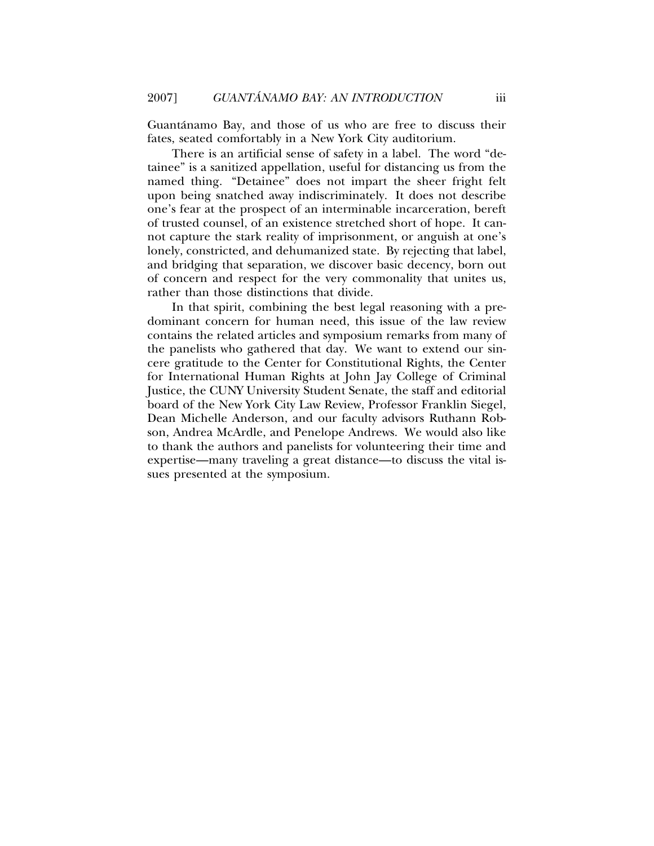Guantánamo Bay, and those of us who are free to discuss their fates, seated comfortably in a New York City auditorium.

There is an artificial sense of safety in a label. The word "detainee" is a sanitized appellation, useful for distancing us from the named thing. "Detainee" does not impart the sheer fright felt upon being snatched away indiscriminately. It does not describe one's fear at the prospect of an interminable incarceration, bereft of trusted counsel, of an existence stretched short of hope. It cannot capture the stark reality of imprisonment, or anguish at one's lonely, constricted, and dehumanized state. By rejecting that label, and bridging that separation, we discover basic decency, born out of concern and respect for the very commonality that unites us, rather than those distinctions that divide.

In that spirit, combining the best legal reasoning with a predominant concern for human need, this issue of the law review contains the related articles and symposium remarks from many of the panelists who gathered that day. We want to extend our sincere gratitude to the Center for Constitutional Rights, the Center for International Human Rights at John Jay College of Criminal Justice, the CUNY University Student Senate, the staff and editorial board of the New York City Law Review, Professor Franklin Siegel, Dean Michelle Anderson, and our faculty advisors Ruthann Robson, Andrea McArdle, and Penelope Andrews. We would also like to thank the authors and panelists for volunteering their time and expertise—many traveling a great distance—to discuss the vital issues presented at the symposium.